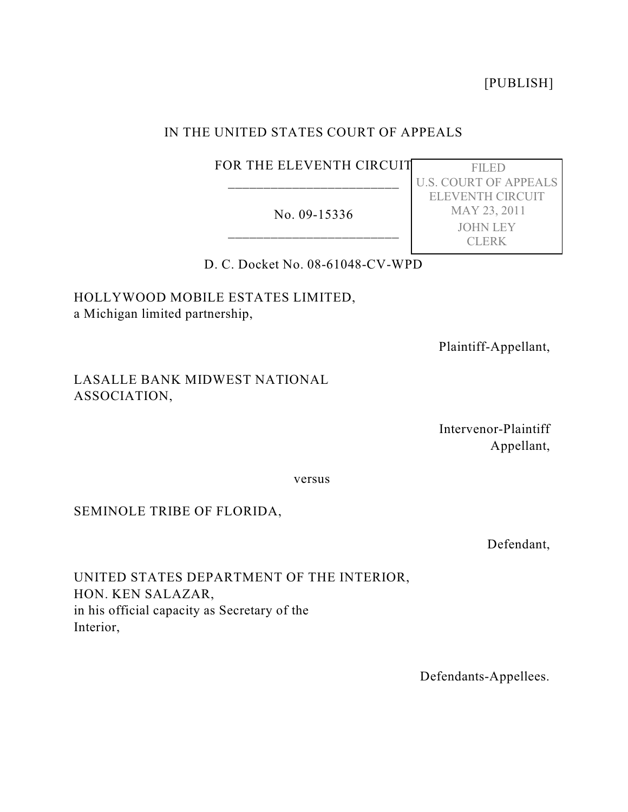[PUBLISH]

# IN THE UNITED STATES COURT OF APPEALS

# FOR THE ELEVENTH CIRCUIT \_\_\_\_\_\_\_\_\_\_\_\_\_\_\_\_\_\_\_\_\_\_\_\_

No. 09-15336 \_\_\_\_\_\_\_\_\_\_\_\_\_\_\_\_\_\_\_\_\_\_\_\_

 FILED U.S. COURT OF APPEALS ELEVENTH CIRCUIT MAY 23, 2011 JOHN LEY CLERK

D. C. Docket No. 08-61048-CV-WPD

HOLLYWOOD MOBILE ESTATES LIMITED, a Michigan limited partnership,

Plaintiff-Appellant,

# LASALLE BANK MIDWEST NATIONAL ASSOCIATION,

Intervenor-Plaintiff Appellant,

versus

## SEMINOLE TRIBE OF FLORIDA,

Defendant,

UNITED STATES DEPARTMENT OF THE INTERIOR, HON. KEN SALAZAR, in his official capacity as Secretary of the Interior,

Defendants-Appellees.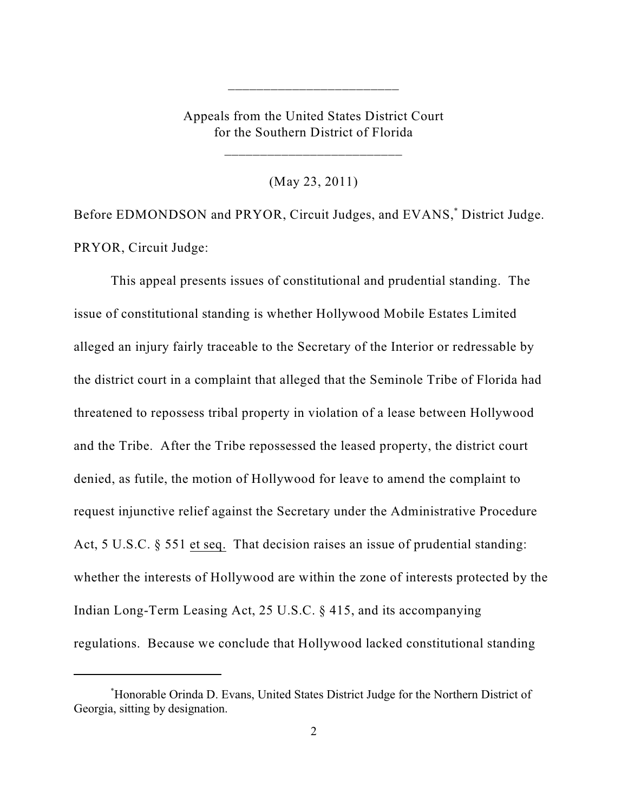Appeals from the United States District Court for the Southern District of Florida

\_\_\_\_\_\_\_\_\_\_\_\_\_\_\_\_\_\_\_\_\_\_\_\_\_

\_\_\_\_\_\_\_\_\_\_\_\_\_\_\_\_\_\_\_\_\_\_\_\_

(May 23, 2011)

Before EDMONDSON and PRYOR, Circuit Judges, and EVANS,<sup>\*</sup> District Judge. PRYOR, Circuit Judge:

This appeal presents issues of constitutional and prudential standing. The issue of constitutional standing is whether Hollywood Mobile Estates Limited alleged an injury fairly traceable to the Secretary of the Interior or redressable by the district court in a complaint that alleged that the Seminole Tribe of Florida had threatened to repossess tribal property in violation of a lease between Hollywood and the Tribe. After the Tribe repossessed the leased property, the district court denied, as futile, the motion of Hollywood for leave to amend the complaint to request injunctive relief against the Secretary under the Administrative Procedure Act, 5 U.S.C. § 551 et seq. That decision raises an issue of prudential standing: whether the interests of Hollywood are within the zone of interests protected by the Indian Long-Term Leasing Act, 25 U.S.C. § 415, and its accompanying regulations. Because we conclude that Hollywood lacked constitutional standing

Honorable Orinda D. Evans, United States District Judge for the Northern District of \* Georgia, sitting by designation.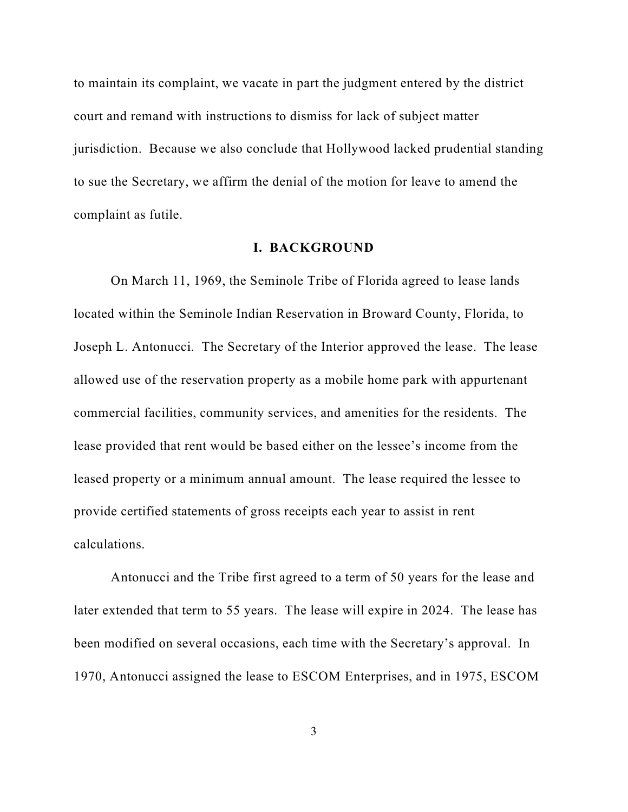to maintain its complaint, we vacate in part the judgment entered by the district court and remand with instructions to dismiss for lack of subject matter jurisdiction. Because we also conclude that Hollywood lacked prudential standing to sue the Secretary, we affirm the denial of the motion for leave to amend the complaint as futile.

### **I. BACKGROUND**

On March 11, 1969, the Seminole Tribe of Florida agreed to lease lands located within the Seminole Indian Reservation in Broward County, Florida, to Joseph L. Antonucci. The Secretary of the Interior approved the lease. The lease allowed use of the reservation property as a mobile home park with appurtenant commercial facilities, community services, and amenities for the residents. The lease provided that rent would be based either on the lessee's income from the leased property or a minimum annual amount. The lease required the lessee to provide certified statements of gross receipts each year to assist in rent calculations.

Antonucci and the Tribe first agreed to a term of 50 years for the lease and later extended that term to 55 years. The lease will expire in 2024. The lease has been modified on several occasions, each time with the Secretary's approval. In 1970, Antonucci assigned the lease to ESCOM Enterprises, and in 1975, ESCOM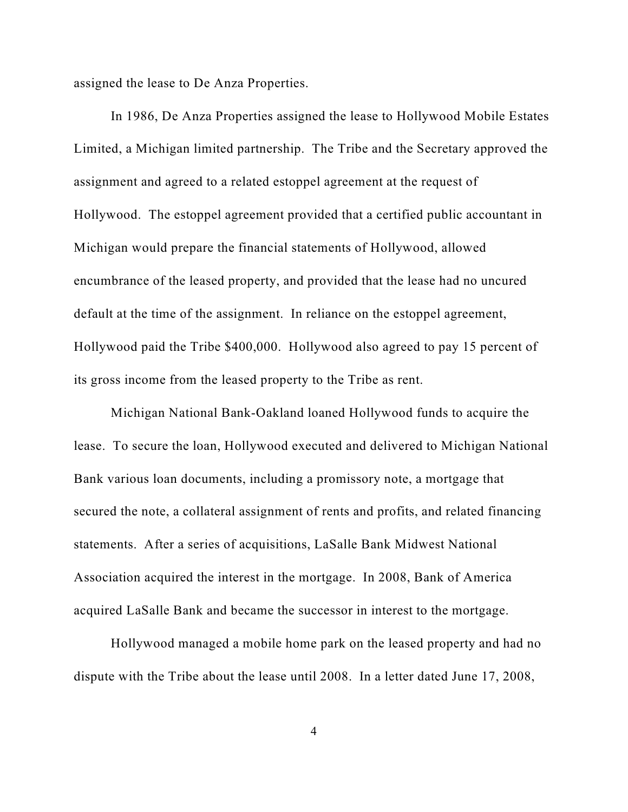assigned the lease to De Anza Properties.

In 1986, De Anza Properties assigned the lease to Hollywood Mobile Estates Limited, a Michigan limited partnership. The Tribe and the Secretary approved the assignment and agreed to a related estoppel agreement at the request of Hollywood. The estoppel agreement provided that a certified public accountant in Michigan would prepare the financial statements of Hollywood, allowed encumbrance of the leased property, and provided that the lease had no uncured default at the time of the assignment. In reliance on the estoppel agreement, Hollywood paid the Tribe \$400,000. Hollywood also agreed to pay 15 percent of its gross income from the leased property to the Tribe as rent.

Michigan National Bank-Oakland loaned Hollywood funds to acquire the lease. To secure the loan, Hollywood executed and delivered to Michigan National Bank various loan documents, including a promissory note, a mortgage that secured the note, a collateral assignment of rents and profits, and related financing statements. After a series of acquisitions, LaSalle Bank Midwest National Association acquired the interest in the mortgage. In 2008, Bank of America acquired LaSalle Bank and became the successor in interest to the mortgage.

Hollywood managed a mobile home park on the leased property and had no dispute with the Tribe about the lease until 2008. In a letter dated June 17, 2008,

4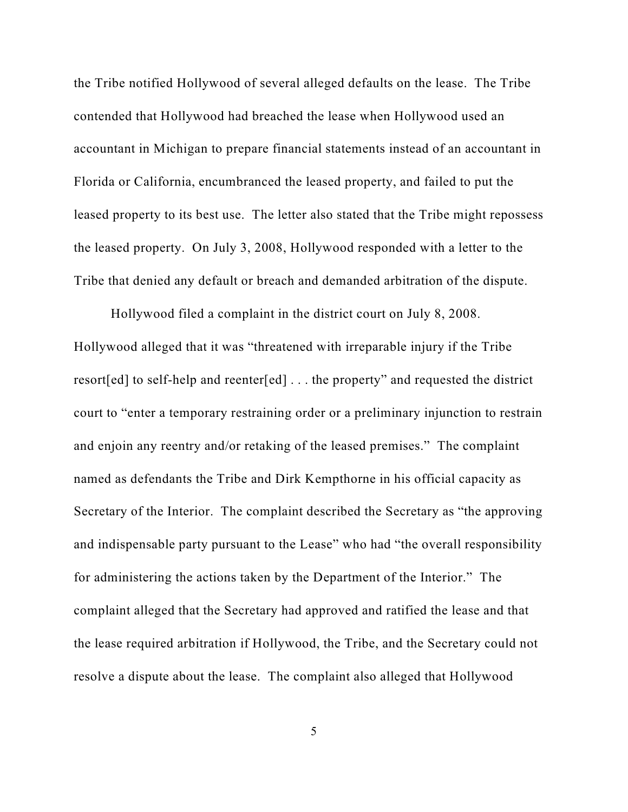the Tribe notified Hollywood of several alleged defaults on the lease. The Tribe contended that Hollywood had breached the lease when Hollywood used an accountant in Michigan to prepare financial statements instead of an accountant in Florida or California, encumbranced the leased property, and failed to put the leased property to its best use. The letter also stated that the Tribe might repossess the leased property. On July 3, 2008, Hollywood responded with a letter to the Tribe that denied any default or breach and demanded arbitration of the dispute.

Hollywood filed a complaint in the district court on July 8, 2008. Hollywood alleged that it was "threatened with irreparable injury if the Tribe resort[ed] to self-help and reenter[ed] . . . the property" and requested the district court to "enter a temporary restraining order or a preliminary injunction to restrain and enjoin any reentry and/or retaking of the leased premises." The complaint named as defendants the Tribe and Dirk Kempthorne in his official capacity as Secretary of the Interior. The complaint described the Secretary as "the approving and indispensable party pursuant to the Lease" who had "the overall responsibility for administering the actions taken by the Department of the Interior." The complaint alleged that the Secretary had approved and ratified the lease and that the lease required arbitration if Hollywood, the Tribe, and the Secretary could not resolve a dispute about the lease. The complaint also alleged that Hollywood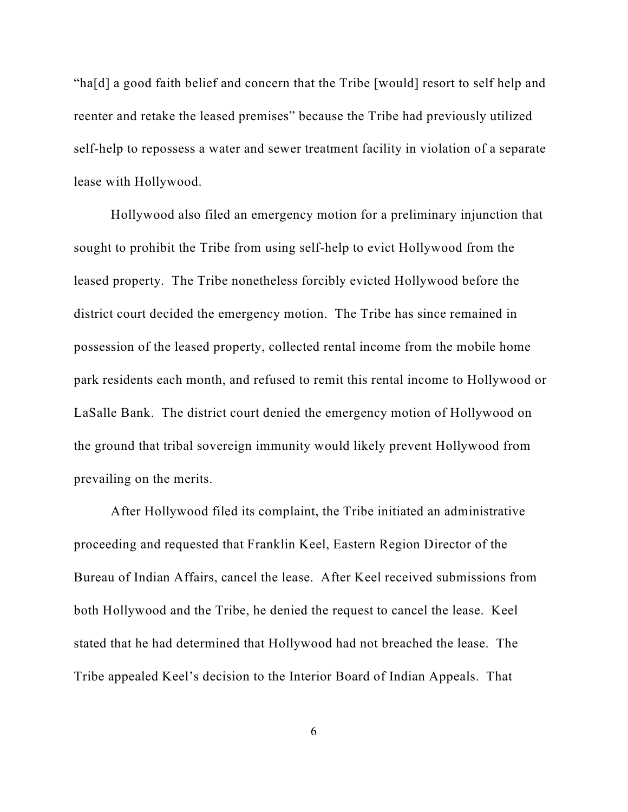"ha[d] a good faith belief and concern that the Tribe [would] resort to self help and reenter and retake the leased premises" because the Tribe had previously utilized self-help to repossess a water and sewer treatment facility in violation of a separate lease with Hollywood.

Hollywood also filed an emergency motion for a preliminary injunction that sought to prohibit the Tribe from using self-help to evict Hollywood from the leased property. The Tribe nonetheless forcibly evicted Hollywood before the district court decided the emergency motion. The Tribe has since remained in possession of the leased property, collected rental income from the mobile home park residents each month, and refused to remit this rental income to Hollywood or LaSalle Bank. The district court denied the emergency motion of Hollywood on the ground that tribal sovereign immunity would likely prevent Hollywood from prevailing on the merits.

After Hollywood filed its complaint, the Tribe initiated an administrative proceeding and requested that Franklin Keel, Eastern Region Director of the Bureau of Indian Affairs, cancel the lease. After Keel received submissions from both Hollywood and the Tribe, he denied the request to cancel the lease. Keel stated that he had determined that Hollywood had not breached the lease. The Tribe appealed Keel's decision to the Interior Board of Indian Appeals. That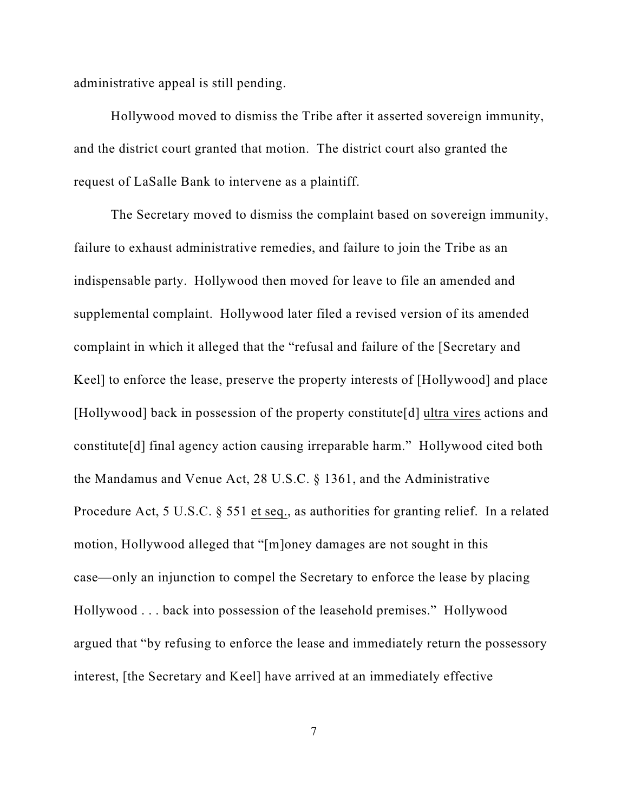administrative appeal is still pending.

Hollywood moved to dismiss the Tribe after it asserted sovereign immunity, and the district court granted that motion. The district court also granted the request of LaSalle Bank to intervene as a plaintiff.

The Secretary moved to dismiss the complaint based on sovereign immunity, failure to exhaust administrative remedies, and failure to join the Tribe as an indispensable party. Hollywood then moved for leave to file an amended and supplemental complaint. Hollywood later filed a revised version of its amended complaint in which it alleged that the "refusal and failure of the [Secretary and Keel] to enforce the lease, preserve the property interests of [Hollywood] and place [Hollywood] back in possession of the property constitute[d] ultra vires actions and constitute[d] final agency action causing irreparable harm." Hollywood cited both the Mandamus and Venue Act, 28 U.S.C. § 1361, and the Administrative Procedure Act, 5 U.S.C. § 551 et seq., as authorities for granting relief. In a related motion, Hollywood alleged that "[m]oney damages are not sought in this case—only an injunction to compel the Secretary to enforce the lease by placing Hollywood . . . back into possession of the leasehold premises." Hollywood argued that "by refusing to enforce the lease and immediately return the possessory interest, [the Secretary and Keel] have arrived at an immediately effective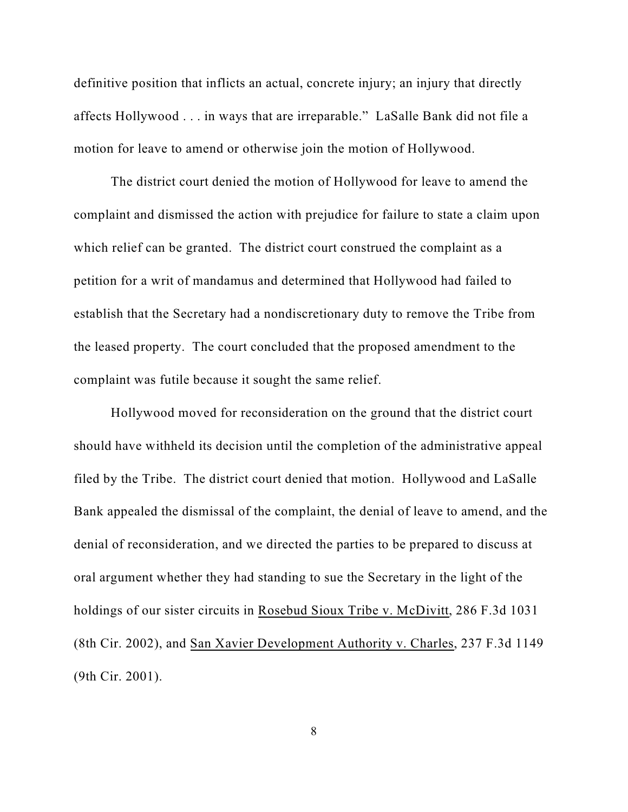definitive position that inflicts an actual, concrete injury; an injury that directly affects Hollywood . . . in ways that are irreparable." LaSalle Bank did not file a motion for leave to amend or otherwise join the motion of Hollywood.

The district court denied the motion of Hollywood for leave to amend the complaint and dismissed the action with prejudice for failure to state a claim upon which relief can be granted. The district court construed the complaint as a petition for a writ of mandamus and determined that Hollywood had failed to establish that the Secretary had a nondiscretionary duty to remove the Tribe from the leased property. The court concluded that the proposed amendment to the complaint was futile because it sought the same relief.

Hollywood moved for reconsideration on the ground that the district court should have withheld its decision until the completion of the administrative appeal filed by the Tribe. The district court denied that motion. Hollywood and LaSalle Bank appealed the dismissal of the complaint, the denial of leave to amend, and the denial of reconsideration, and we directed the parties to be prepared to discuss at oral argument whether they had standing to sue the Secretary in the light of the holdings of our sister circuits in Rosebud Sioux Tribe v. McDivitt, 286 F.3d 1031 (8th Cir. 2002), and San Xavier Development Authority v. Charles, 237 F.3d 1149 (9th Cir. 2001).

8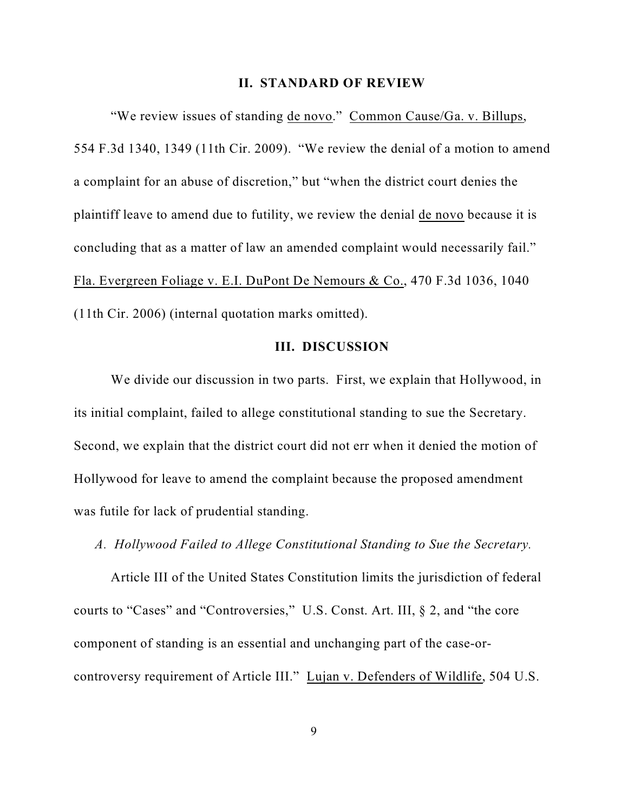#### **II. STANDARD OF REVIEW**

"We review issues of standing de novo." Common Cause/Ga. v. Billups, 554 F.3d 1340, 1349 (11th Cir. 2009). "We review the denial of a motion to amend a complaint for an abuse of discretion," but "when the district court denies the plaintiff leave to amend due to futility, we review the denial de novo because it is concluding that as a matter of law an amended complaint would necessarily fail." Fla. Evergreen Foliage v. E.I. DuPont De Nemours & Co., 470 F.3d 1036, 1040 (11th Cir. 2006) (internal quotation marks omitted).

### **III. DISCUSSION**

We divide our discussion in two parts. First, we explain that Hollywood, in its initial complaint, failed to allege constitutional standing to sue the Secretary. Second, we explain that the district court did not err when it denied the motion of Hollywood for leave to amend the complaint because the proposed amendment was futile for lack of prudential standing.

*A. Hollywood Failed to Allege Constitutional Standing to Sue the Secretary.*

Article III of the United States Constitution limits the jurisdiction of federal courts to "Cases" and "Controversies," U.S. Const. Art. III, § 2, and "the core component of standing is an essential and unchanging part of the case-orcontroversy requirement of Article III." Lujan v. Defenders of Wildlife, 504 U.S.

9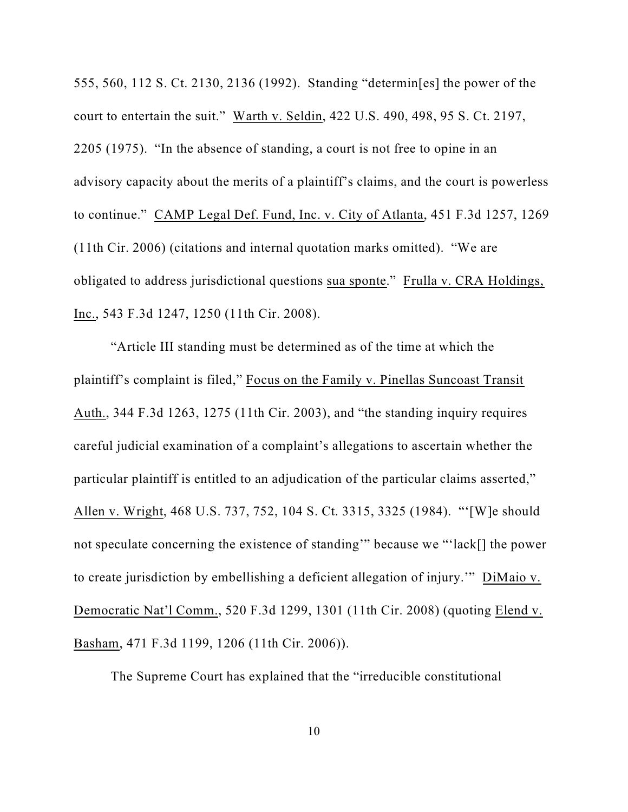555, 560, 112 S. Ct. 2130, 2136 (1992). Standing "determin[es] the power of the court to entertain the suit." Warth v. Seldin, 422 U.S. 490, 498, 95 S. Ct. 2197, 2205 (1975). "In the absence of standing, a court is not free to opine in an advisory capacity about the merits of a plaintiff's claims, and the court is powerless to continue." CAMP Legal Def. Fund, Inc. v. City of Atlanta, 451 F.3d 1257, 1269 (11th Cir. 2006) (citations and internal quotation marks omitted). "We are obligated to address jurisdictional questions sua sponte." Frulla v. CRA Holdings, Inc., 543 F.3d 1247, 1250 (11th Cir. 2008).

"Article III standing must be determined as of the time at which the plaintiff's complaint is filed," Focus on the Family v. Pinellas Suncoast Transit Auth., 344 F.3d 1263, 1275 (11th Cir. 2003), and "the standing inquiry requires careful judicial examination of a complaint's allegations to ascertain whether the particular plaintiff is entitled to an adjudication of the particular claims asserted," Allen v. Wright, 468 U.S. 737, 752, 104 S. Ct. 3315, 3325 (1984). "'[W]e should not speculate concerning the existence of standing'" because we "'lack[] the power to create jurisdiction by embellishing a deficient allegation of injury.'" DiMaio v. Democratic Nat'l Comm., 520 F.3d 1299, 1301 (11th Cir. 2008) (quoting Elend v. Basham, 471 F.3d 1199, 1206 (11th Cir. 2006)).

The Supreme Court has explained that the "irreducible constitutional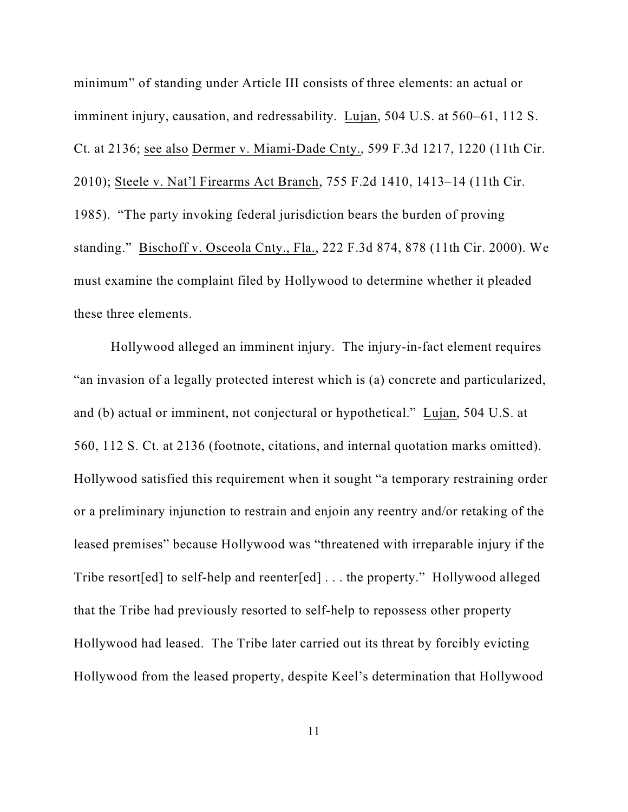minimum" of standing under Article III consists of three elements: an actual or imminent injury, causation, and redressability. Lujan, 504 U.S. at 560–61, 112 S. Ct. at 2136; see also Dermer v. Miami-Dade Cnty., 599 F.3d 1217, 1220 (11th Cir. 2010); Steele v. Nat'l Firearms Act Branch, 755 F.2d 1410, 1413–14 (11th Cir. 1985). "The party invoking federal jurisdiction bears the burden of proving standing." Bischoff v. Osceola Cnty., Fla., 222 F.3d 874, 878 (11th Cir. 2000). We must examine the complaint filed by Hollywood to determine whether it pleaded these three elements.

Hollywood alleged an imminent injury. The injury-in-fact element requires "an invasion of a legally protected interest which is (a) concrete and particularized, and (b) actual or imminent, not conjectural or hypothetical." Lujan, 504 U.S. at 560, 112 S. Ct. at 2136 (footnote, citations, and internal quotation marks omitted). Hollywood satisfied this requirement when it sought "a temporary restraining order or a preliminary injunction to restrain and enjoin any reentry and/or retaking of the leased premises" because Hollywood was "threatened with irreparable injury if the Tribe resort[ed] to self-help and reenter[ed] . . . the property." Hollywood alleged that the Tribe had previously resorted to self-help to repossess other property Hollywood had leased. The Tribe later carried out its threat by forcibly evicting Hollywood from the leased property, despite Keel's determination that Hollywood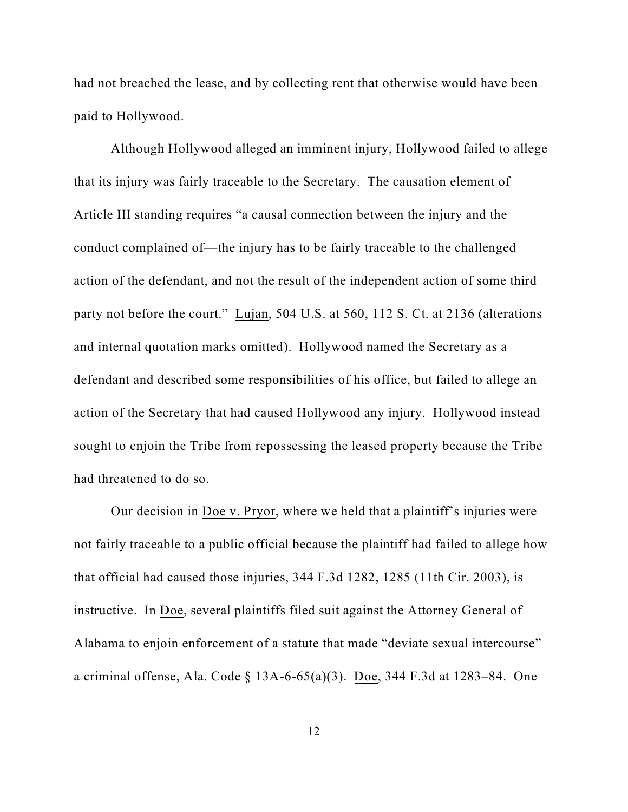had not breached the lease, and by collecting rent that otherwise would have been paid to Hollywood.

Although Hollywood alleged an imminent injury, Hollywood failed to allege that its injury was fairly traceable to the Secretary. The causation element of Article III standing requires "a causal connection between the injury and the conduct complained of—the injury has to be fairly traceable to the challenged action of the defendant, and not the result of the independent action of some third party not before the court." Lujan, 504 U.S. at 560, 112 S. Ct. at 2136 (alterations and internal quotation marks omitted). Hollywood named the Secretary as a defendant and described some responsibilities of his office, but failed to allege an action of the Secretary that had caused Hollywood any injury. Hollywood instead sought to enjoin the Tribe from repossessing the leased property because the Tribe had threatened to do so.

Our decision in Doe v. Pryor, where we held that a plaintiff's injuries were not fairly traceable to a public official because the plaintiff had failed to allege how that official had caused those injuries, 344 F.3d 1282, 1285 (11th Cir. 2003), is instructive. In Doe, several plaintiffs filed suit against the Attorney General of Alabama to enjoin enforcement of a statute that made "deviate sexual intercourse" a criminal offense, Ala. Code § 13A-6-65(a)(3). Doe, 344 F.3d at 1283–84. One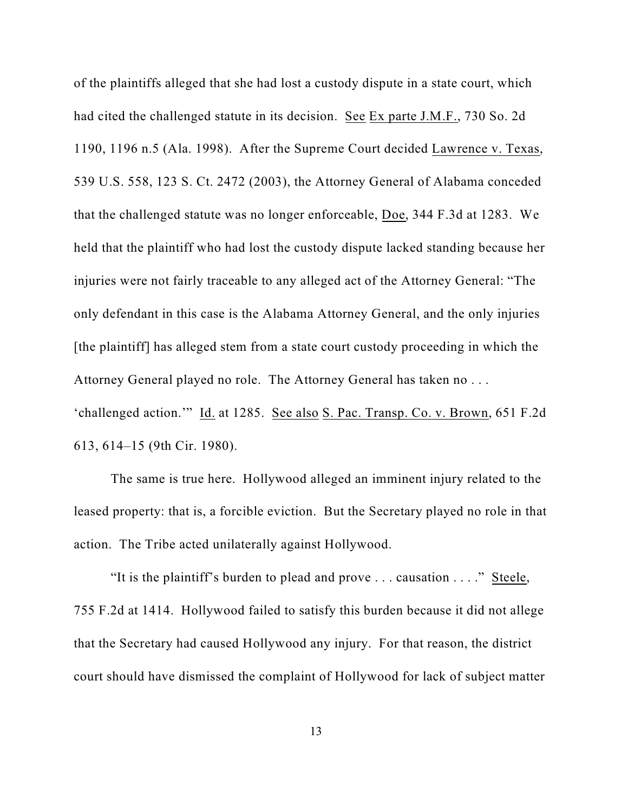of the plaintiffs alleged that she had lost a custody dispute in a state court, which had cited the challenged statute in its decision. See Ex parte J.M.F., 730 So. 2d 1190, 1196 n.5 (Ala. 1998). After the Supreme Court decided Lawrence v. Texas, 539 U.S. 558, 123 S. Ct. 2472 (2003), the Attorney General of Alabama conceded that the challenged statute was no longer enforceable, Doe, 344 F.3d at 1283. We held that the plaintiff who had lost the custody dispute lacked standing because her injuries were not fairly traceable to any alleged act of the Attorney General: "The only defendant in this case is the Alabama Attorney General, and the only injuries [the plaintiff] has alleged stem from a state court custody proceeding in which the Attorney General played no role. The Attorney General has taken no . . . 'challenged action.'" Id. at 1285. See also S. Pac. Transp. Co. v. Brown, 651 F.2d

613, 614–15 (9th Cir. 1980).

The same is true here. Hollywood alleged an imminent injury related to the leased property: that is, a forcible eviction. But the Secretary played no role in that action. The Tribe acted unilaterally against Hollywood.

"It is the plaintiff's burden to plead and prove . . . causation . . . ." Steele, 755 F.2d at 1414. Hollywood failed to satisfy this burden because it did not allege that the Secretary had caused Hollywood any injury. For that reason, the district court should have dismissed the complaint of Hollywood for lack of subject matter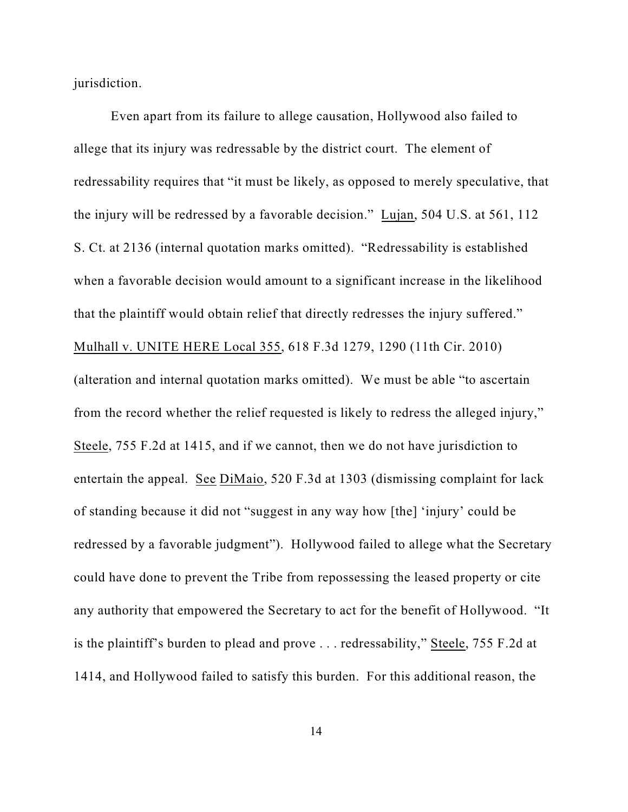jurisdiction.

Even apart from its failure to allege causation, Hollywood also failed to allege that its injury was redressable by the district court. The element of redressability requires that "it must be likely, as opposed to merely speculative, that the injury will be redressed by a favorable decision." Lujan, 504 U.S. at 561, 112 S. Ct. at 2136 (internal quotation marks omitted). "Redressability is established when a favorable decision would amount to a significant increase in the likelihood that the plaintiff would obtain relief that directly redresses the injury suffered." Mulhall v. UNITE HERE Local 355, 618 F.3d 1279, 1290 (11th Cir. 2010) (alteration and internal quotation marks omitted). We must be able "to ascertain from the record whether the relief requested is likely to redress the alleged injury," Steele, 755 F.2d at 1415, and if we cannot, then we do not have jurisdiction to entertain the appeal. See DiMaio, 520 F.3d at 1303 (dismissing complaint for lack of standing because it did not "suggest in any way how [the] 'injury' could be redressed by a favorable judgment"). Hollywood failed to allege what the Secretary could have done to prevent the Tribe from repossessing the leased property or cite any authority that empowered the Secretary to act for the benefit of Hollywood. "It is the plaintiff's burden to plead and prove . . . redressability," Steele, 755 F.2d at 1414, and Hollywood failed to satisfy this burden. For this additional reason, the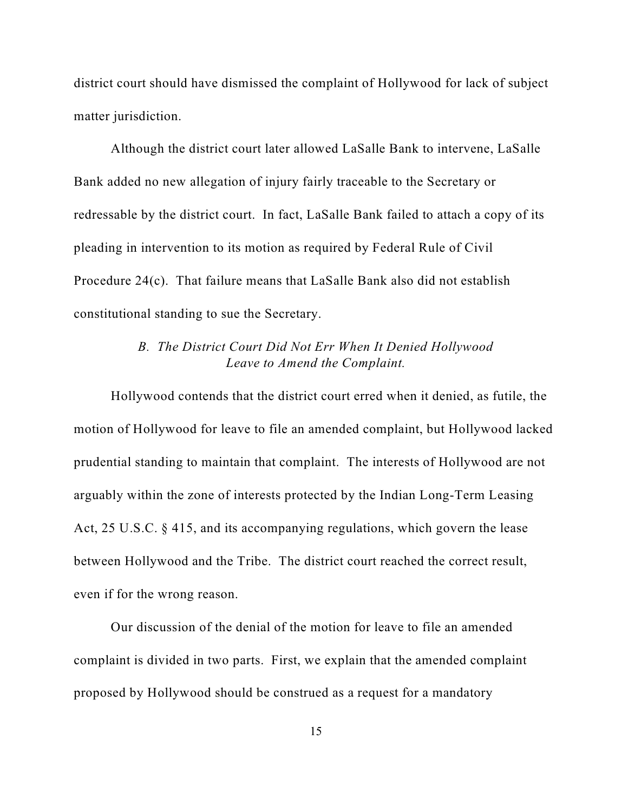district court should have dismissed the complaint of Hollywood for lack of subject matter jurisdiction.

Although the district court later allowed LaSalle Bank to intervene, LaSalle Bank added no new allegation of injury fairly traceable to the Secretary or redressable by the district court. In fact, LaSalle Bank failed to attach a copy of its pleading in intervention to its motion as required by Federal Rule of Civil Procedure 24(c). That failure means that LaSalle Bank also did not establish constitutional standing to sue the Secretary.

### *B. The District Court Did Not Err When It Denied Hollywood Leave to Amend the Complaint.*

Hollywood contends that the district court erred when it denied, as futile, the motion of Hollywood for leave to file an amended complaint, but Hollywood lacked prudential standing to maintain that complaint. The interests of Hollywood are not arguably within the zone of interests protected by the Indian Long-Term Leasing Act, 25 U.S.C. § 415, and its accompanying regulations, which govern the lease between Hollywood and the Tribe. The district court reached the correct result, even if for the wrong reason.

Our discussion of the denial of the motion for leave to file an amended complaint is divided in two parts. First, we explain that the amended complaint proposed by Hollywood should be construed as a request for a mandatory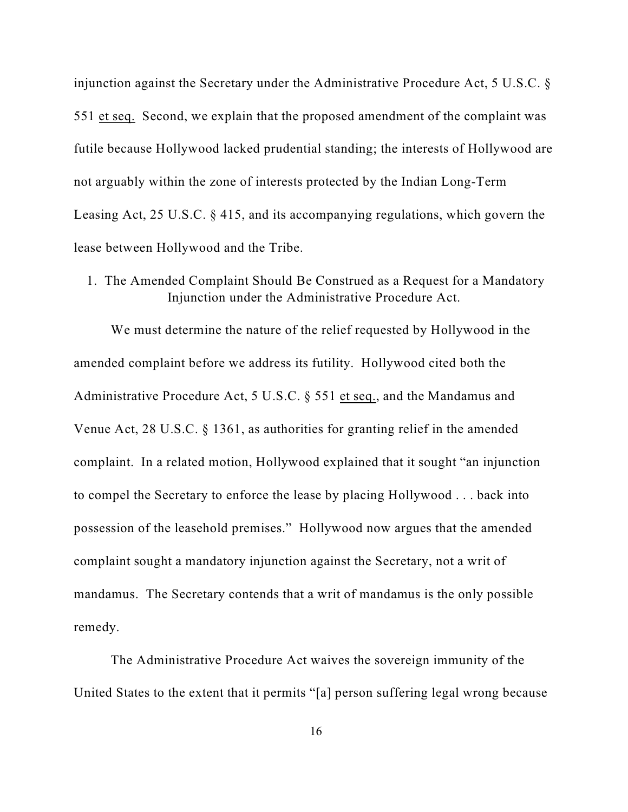injunction against the Secretary under the Administrative Procedure Act, 5 U.S.C. § 551 et seq. Second, we explain that the proposed amendment of the complaint was futile because Hollywood lacked prudential standing; the interests of Hollywood are not arguably within the zone of interests protected by the Indian Long-Term Leasing Act, 25 U.S.C. § 415, and its accompanying regulations, which govern the lease between Hollywood and the Tribe.

1. The Amended Complaint Should Be Construed as a Request for a Mandatory Injunction under the Administrative Procedure Act.

We must determine the nature of the relief requested by Hollywood in the amended complaint before we address its futility. Hollywood cited both the Administrative Procedure Act, 5 U.S.C. § 551 et seq., and the Mandamus and Venue Act, 28 U.S.C. § 1361, as authorities for granting relief in the amended complaint. In a related motion, Hollywood explained that it sought "an injunction to compel the Secretary to enforce the lease by placing Hollywood . . . back into possession of the leasehold premises." Hollywood now argues that the amended complaint sought a mandatory injunction against the Secretary, not a writ of mandamus. The Secretary contends that a writ of mandamus is the only possible remedy.

The Administrative Procedure Act waives the sovereign immunity of the United States to the extent that it permits "[a] person suffering legal wrong because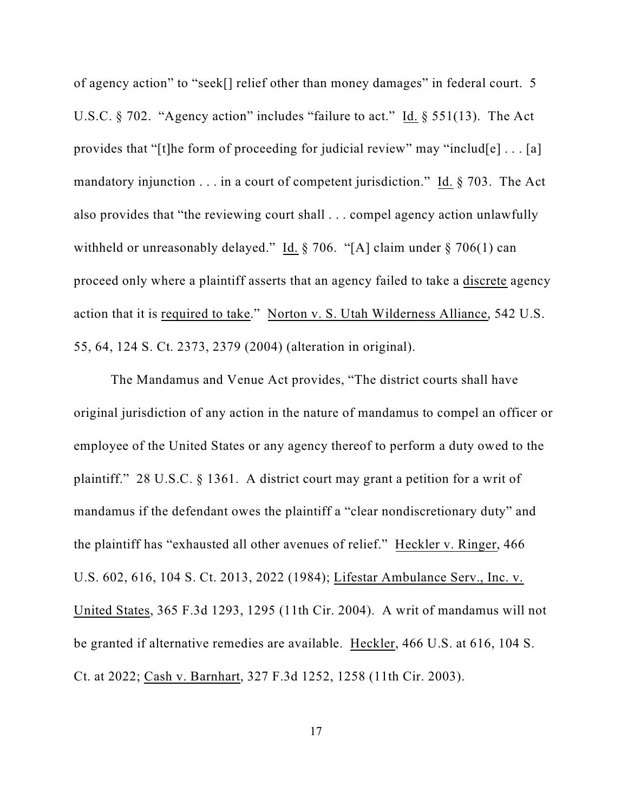of agency action" to "seek[] relief other than money damages" in federal court. 5 U.S.C. § 702. "Agency action" includes "failure to act." Id. § 551(13). The Act provides that "[t]he form of proceeding for judicial review" may "includ[e] . . . [a] mandatory injunction . . . in a court of competent jurisdiction." Id. § 703. The Act also provides that "the reviewing court shall . . . compel agency action unlawfully withheld or unreasonably delayed." Id. § 706. "[A] claim under § 706(1) can proceed only where a plaintiff asserts that an agency failed to take a discrete agency action that it is required to take." Norton v. S. Utah Wilderness Alliance, 542 U.S. 55, 64, 124 S. Ct. 2373, 2379 (2004) (alteration in original).

The Mandamus and Venue Act provides, "The district courts shall have original jurisdiction of any action in the nature of mandamus to compel an officer or employee of the United States or any agency thereof to perform a duty owed to the plaintiff." 28 U.S.C. § 1361. A district court may grant a petition for a writ of mandamus if the defendant owes the plaintiff a "clear nondiscretionary duty" and the plaintiff has "exhausted all other avenues of relief." Heckler v. Ringer, 466 U.S. 602, 616, 104 S. Ct. 2013, 2022 (1984); Lifestar Ambulance Serv., Inc. v. United States, 365 F.3d 1293, 1295 (11th Cir. 2004). A writ of mandamus will not be granted if alternative remedies are available. Heckler, 466 U.S. at 616, 104 S. Ct. at 2022; Cash v. Barnhart, 327 F.3d 1252, 1258 (11th Cir. 2003).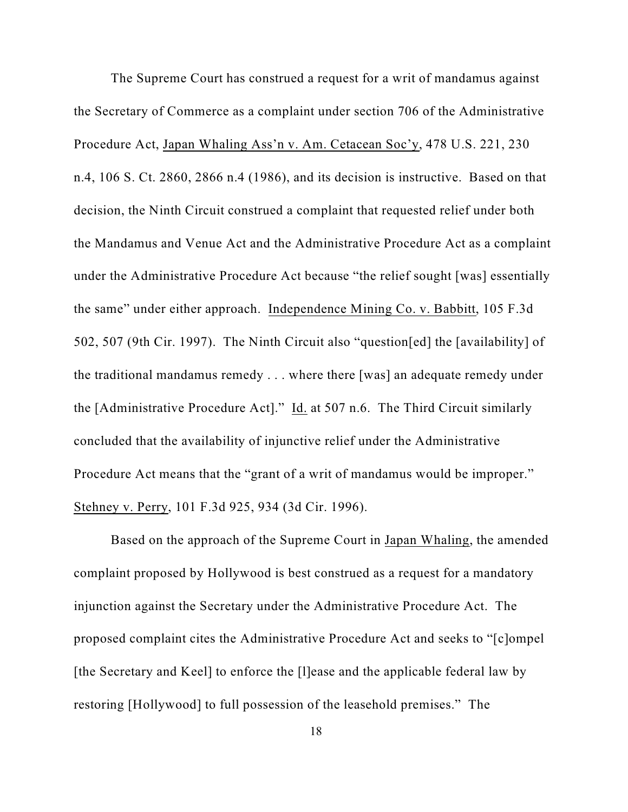The Supreme Court has construed a request for a writ of mandamus against the Secretary of Commerce as a complaint under section 706 of the Administrative Procedure Act, Japan Whaling Ass'n v. Am. Cetacean Soc'y, 478 U.S. 221, 230 n.4, 106 S. Ct. 2860, 2866 n.4 (1986), and its decision is instructive. Based on that decision, the Ninth Circuit construed a complaint that requested relief under both the Mandamus and Venue Act and the Administrative Procedure Act as a complaint under the Administrative Procedure Act because "the relief sought [was] essentially the same" under either approach. Independence Mining Co. v. Babbitt, 105 F.3d 502, 507 (9th Cir. 1997). The Ninth Circuit also "question[ed] the [availability] of the traditional mandamus remedy . . . where there [was] an adequate remedy under the [Administrative Procedure Act]." Id. at 507 n.6. The Third Circuit similarly concluded that the availability of injunctive relief under the Administrative Procedure Act means that the "grant of a writ of mandamus would be improper." Stehney v. Perry, 101 F.3d 925, 934 (3d Cir. 1996).

Based on the approach of the Supreme Court in Japan Whaling, the amended complaint proposed by Hollywood is best construed as a request for a mandatory injunction against the Secretary under the Administrative Procedure Act. The proposed complaint cites the Administrative Procedure Act and seeks to "[c]ompel [the Secretary and Keel] to enforce the [l]ease and the applicable federal law by restoring [Hollywood] to full possession of the leasehold premises." The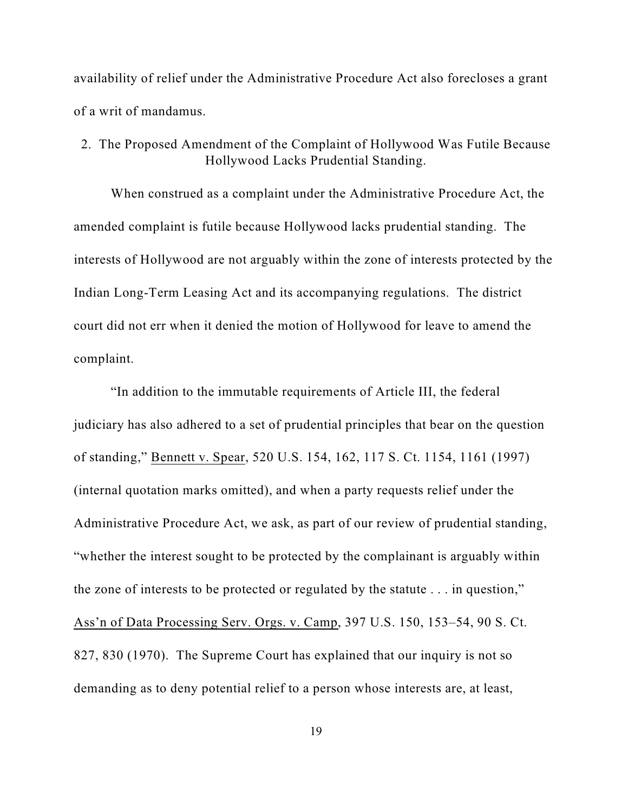availability of relief under the Administrative Procedure Act also forecloses a grant of a writ of mandamus.

2. The Proposed Amendment of the Complaint of Hollywood Was Futile Because Hollywood Lacks Prudential Standing.

When construed as a complaint under the Administrative Procedure Act, the amended complaint is futile because Hollywood lacks prudential standing. The interests of Hollywood are not arguably within the zone of interests protected by the Indian Long-Term Leasing Act and its accompanying regulations. The district court did not err when it denied the motion of Hollywood for leave to amend the complaint.

"In addition to the immutable requirements of Article III, the federal judiciary has also adhered to a set of prudential principles that bear on the question of standing," Bennett v. Spear, 520 U.S. 154, 162, 117 S. Ct. 1154, 1161 (1997) (internal quotation marks omitted), and when a party requests relief under the Administrative Procedure Act, we ask, as part of our review of prudential standing, "whether the interest sought to be protected by the complainant is arguably within the zone of interests to be protected or regulated by the statute . . . in question," Ass'n of Data Processing Serv. Orgs. v. Camp, 397 U.S. 150, 153–54, 90 S. Ct. 827, 830 (1970). The Supreme Court has explained that our inquiry is not so demanding as to deny potential relief to a person whose interests are, at least,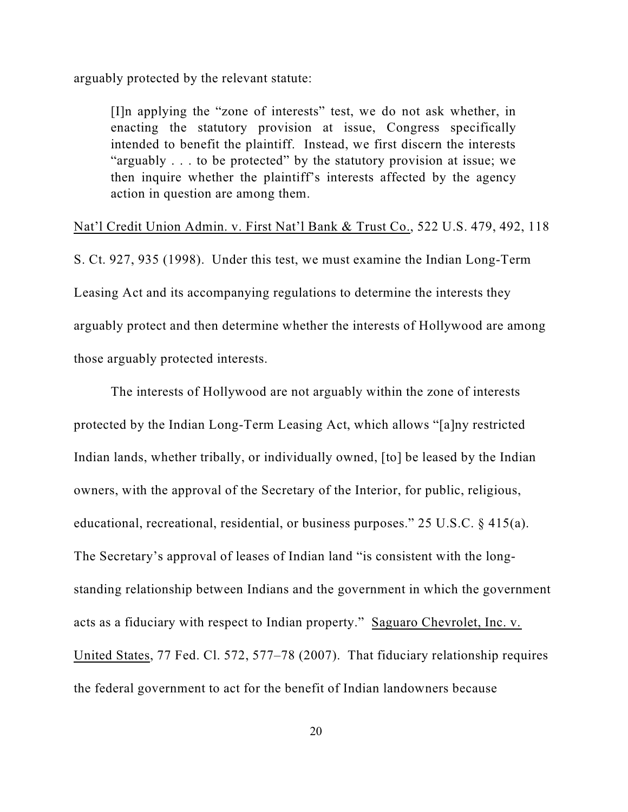arguably protected by the relevant statute:

[I]n applying the "zone of interests" test, we do not ask whether, in enacting the statutory provision at issue, Congress specifically intended to benefit the plaintiff. Instead, we first discern the interests "arguably . . . to be protected" by the statutory provision at issue; we then inquire whether the plaintiff's interests affected by the agency action in question are among them.

### Nat'l Credit Union Admin. v. First Nat'l Bank & Trust Co., 522 U.S. 479, 492, 118

S. Ct. 927, 935 (1998). Under this test, we must examine the Indian Long-Term Leasing Act and its accompanying regulations to determine the interests they arguably protect and then determine whether the interests of Hollywood are among those arguably protected interests.

The interests of Hollywood are not arguably within the zone of interests protected by the Indian Long-Term Leasing Act, which allows "[a]ny restricted Indian lands, whether tribally, or individually owned, [to] be leased by the Indian owners, with the approval of the Secretary of the Interior, for public, religious, educational, recreational, residential, or business purposes." 25 U.S.C. § 415(a). The Secretary's approval of leases of Indian land "is consistent with the longstanding relationship between Indians and the government in which the government acts as a fiduciary with respect to Indian property." Saguaro Chevrolet, Inc. v. United States, 77 Fed. Cl. 572, 577–78 (2007). That fiduciary relationship requires the federal government to act for the benefit of Indian landowners because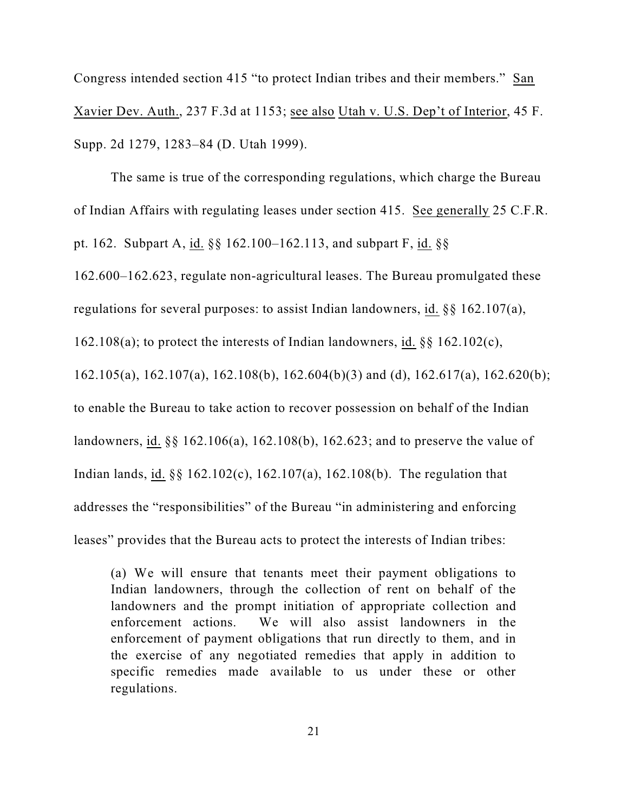Congress intended section 415 "to protect Indian tribes and their members." San Xavier Dev. Auth., 237 F.3d at 1153; see also Utah v. U.S. Dep't of Interior, 45 F. Supp. 2d 1279, 1283–84 (D. Utah 1999).

The same is true of the corresponding regulations, which charge the Bureau of Indian Affairs with regulating leases under section 415. See generally 25 C.F.R. pt. 162. Subpart A, id. §§ 162.100–162.113, and subpart F, id. §§

162.600–162.623, regulate non-agricultural leases. The Bureau promulgated these

regulations for several purposes: to assist Indian landowners, id. §§ 162.107(a),

162.108(a); to protect the interests of Indian landowners, id. §§ 162.102(c),

162.105(a), 162.107(a), 162.108(b), 162.604(b)(3) and (d), 162.617(a), 162.620(b);

to enable the Bureau to take action to recover possession on behalf of the Indian

landowners, id. §§ 162.106(a), 162.108(b), 162.623; and to preserve the value of

Indian lands, id. §§ 162.102(c), 162.107(a), 162.108(b). The regulation that

addresses the "responsibilities" of the Bureau "in administering and enforcing

leases" provides that the Bureau acts to protect the interests of Indian tribes:

(a) We will ensure that tenants meet their payment obligations to Indian landowners, through the collection of rent on behalf of the landowners and the prompt initiation of appropriate collection and enforcement actions. We will also assist landowners in the enforcement of payment obligations that run directly to them, and in the exercise of any negotiated remedies that apply in addition to specific remedies made available to us under these or other regulations.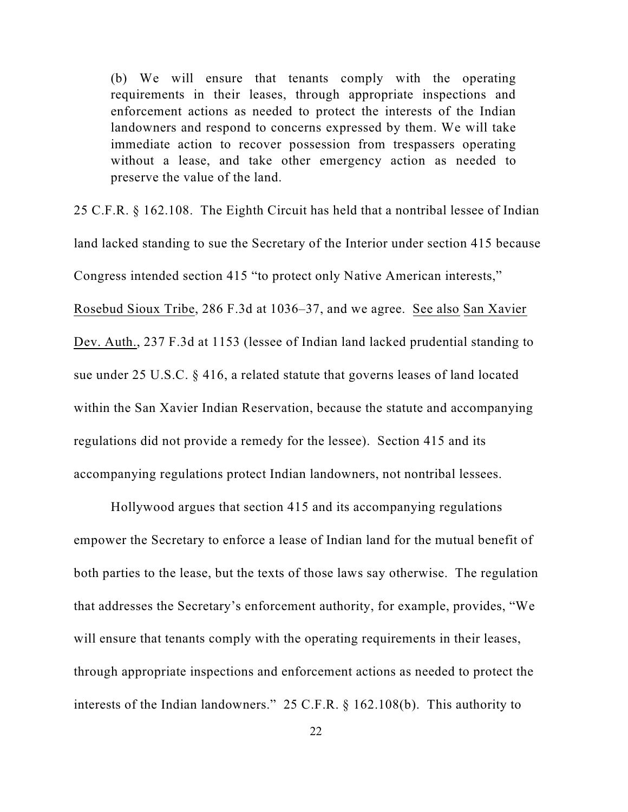(b) We will ensure that tenants comply with the operating requirements in their leases, through appropriate inspections and enforcement actions as needed to protect the interests of the Indian landowners and respond to concerns expressed by them. We will take immediate action to recover possession from trespassers operating without a lease, and take other emergency action as needed to preserve the value of the land.

25 C.F.R. § 162.108. The Eighth Circuit has held that a nontribal lessee of Indian land lacked standing to sue the Secretary of the Interior under section 415 because Congress intended section 415 "to protect only Native American interests," Rosebud Sioux Tribe, 286 F.3d at 1036–37, and we agree. See also San Xavier Dev. Auth., 237 F.3d at 1153 (lessee of Indian land lacked prudential standing to sue under 25 U.S.C. § 416, a related statute that governs leases of land located within the San Xavier Indian Reservation, because the statute and accompanying regulations did not provide a remedy for the lessee). Section 415 and its accompanying regulations protect Indian landowners, not nontribal lessees.

Hollywood argues that section 415 and its accompanying regulations empower the Secretary to enforce a lease of Indian land for the mutual benefit of both parties to the lease, but the texts of those laws say otherwise. The regulation that addresses the Secretary's enforcement authority, for example, provides, "We will ensure that tenants comply with the operating requirements in their leases, through appropriate inspections and enforcement actions as needed to protect the interests of the Indian landowners." 25 C.F.R. § 162.108(b). This authority to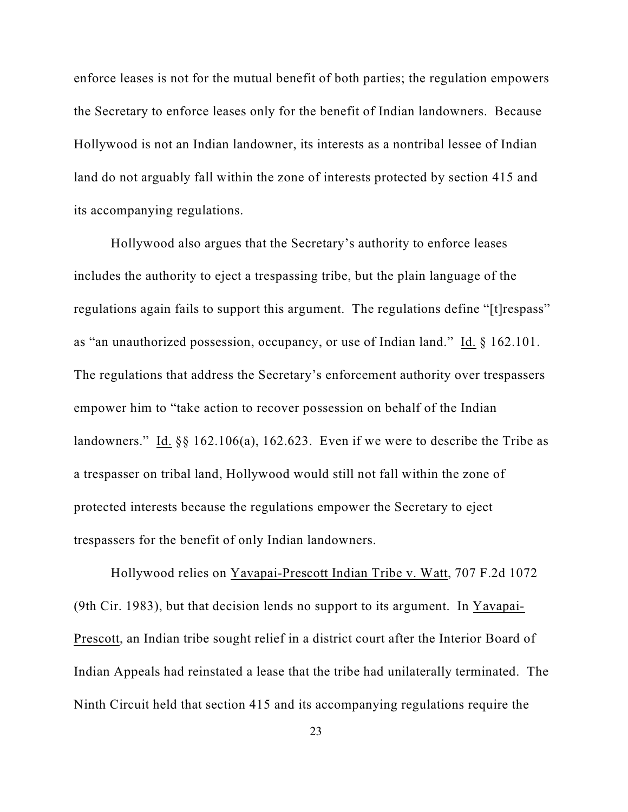enforce leases is not for the mutual benefit of both parties; the regulation empowers the Secretary to enforce leases only for the benefit of Indian landowners. Because Hollywood is not an Indian landowner, its interests as a nontribal lessee of Indian land do not arguably fall within the zone of interests protected by section 415 and its accompanying regulations.

Hollywood also argues that the Secretary's authority to enforce leases includes the authority to eject a trespassing tribe, but the plain language of the regulations again fails to support this argument. The regulations define "[t]respass" as "an unauthorized possession, occupancy, or use of Indian land." Id. § 162.101. The regulations that address the Secretary's enforcement authority over trespassers empower him to "take action to recover possession on behalf of the Indian landowners." Id.  $\S$  162.106(a), 162.623. Even if we were to describe the Tribe as a trespasser on tribal land, Hollywood would still not fall within the zone of protected interests because the regulations empower the Secretary to eject trespassers for the benefit of only Indian landowners.

Hollywood relies on Yavapai-Prescott Indian Tribe v. Watt, 707 F.2d 1072 (9th Cir. 1983), but that decision lends no support to its argument. In Yavapai-Prescott, an Indian tribe sought relief in a district court after the Interior Board of Indian Appeals had reinstated a lease that the tribe had unilaterally terminated. The Ninth Circuit held that section 415 and its accompanying regulations require the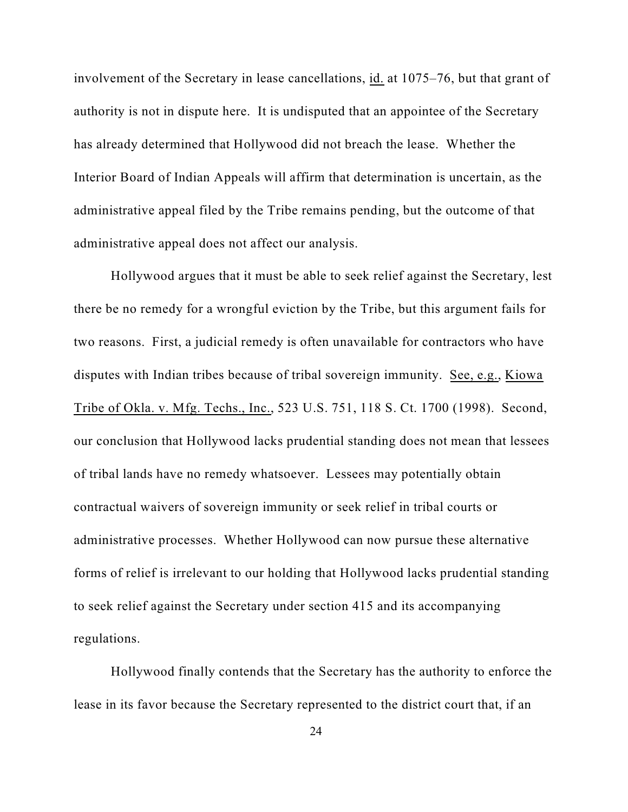involvement of the Secretary in lease cancellations, id. at 1075–76, but that grant of authority is not in dispute here. It is undisputed that an appointee of the Secretary has already determined that Hollywood did not breach the lease. Whether the Interior Board of Indian Appeals will affirm that determination is uncertain, as the administrative appeal filed by the Tribe remains pending, but the outcome of that administrative appeal does not affect our analysis.

Hollywood argues that it must be able to seek relief against the Secretary, lest there be no remedy for a wrongful eviction by the Tribe, but this argument fails for two reasons. First, a judicial remedy is often unavailable for contractors who have disputes with Indian tribes because of tribal sovereign immunity. See, e.g., Kiowa Tribe of Okla. v. Mfg. Techs., Inc., 523 U.S. 751, 118 S. Ct. 1700 (1998). Second, our conclusion that Hollywood lacks prudential standing does not mean that lessees of tribal lands have no remedy whatsoever. Lessees may potentially obtain contractual waivers of sovereign immunity or seek relief in tribal courts or administrative processes. Whether Hollywood can now pursue these alternative forms of relief is irrelevant to our holding that Hollywood lacks prudential standing to seek relief against the Secretary under section 415 and its accompanying regulations.

Hollywood finally contends that the Secretary has the authority to enforce the lease in its favor because the Secretary represented to the district court that, if an